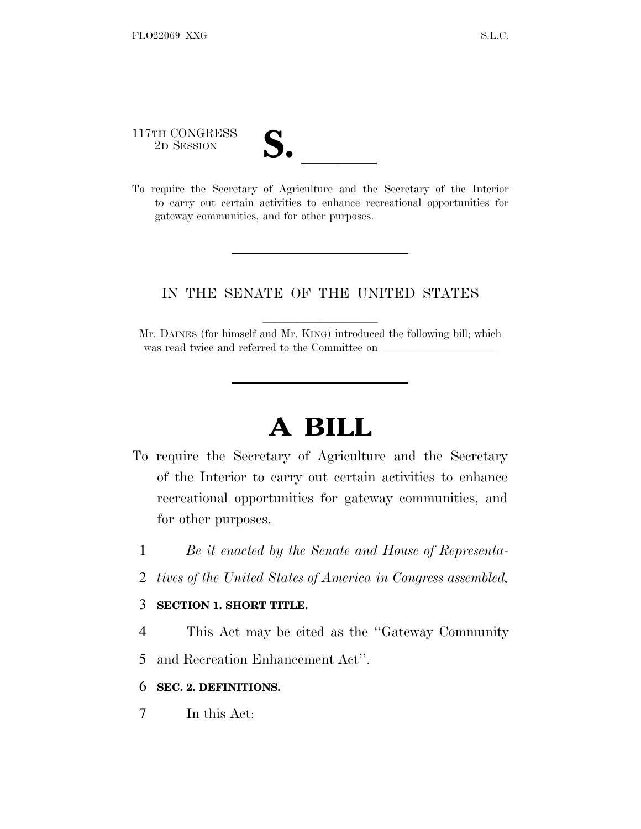117TH CONGRESS 117TH CONGRESS<br>
2D SESSION<br>
To require the Secretary of Agriculture and the Secretary of the Interior

- 
- to carry out certain activities to enhance recreational opportunities for gateway communities, and for other purposes.

## IN THE SENATE OF THE UNITED STATES

Mr. DAINES (for himself and Mr. KING) introduced the following bill; which was read twice and referred to the Committee on

## **A BILL**

- To require the Secretary of Agriculture and the Secretary of the Interior to carry out certain activities to enhance recreational opportunities for gateway communities, and for other purposes.
	- 1 *Be it enacted by the Senate and House of Representa-*
	- 2 *tives of the United States of America in Congress assembled,*

## 3 **SECTION 1. SHORT TITLE.**

- 4 This Act may be cited as the ''Gateway Community
- 5 and Recreation Enhancement Act''.

## 6 **SEC. 2. DEFINITIONS.**

7 In this Act: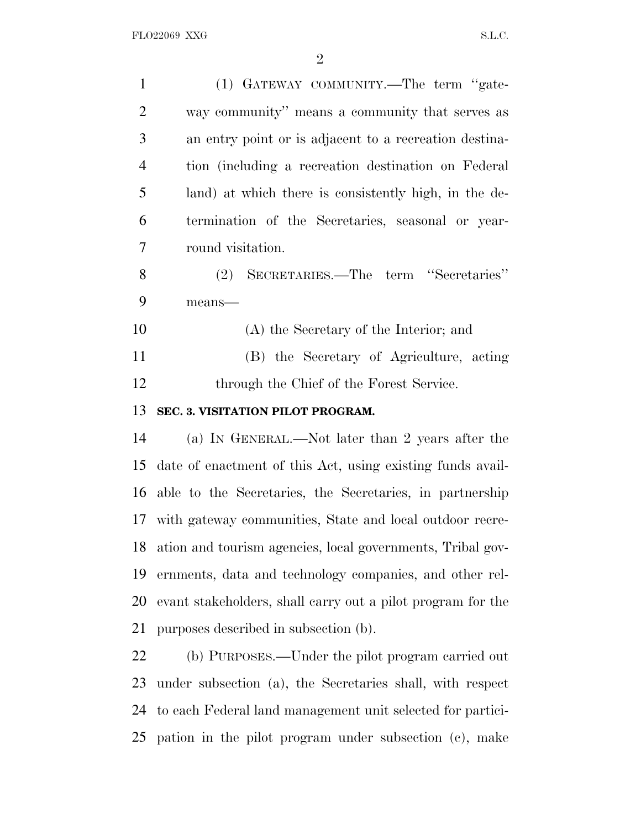| $\mathbf{1}$   | (1) GATEWAY COMMUNITY.—The term "gate-                      |
|----------------|-------------------------------------------------------------|
| $\overline{2}$ | way community" means a community that serves as             |
| 3              | an entry point or is adjacent to a recreation destina-      |
| $\overline{4}$ | tion (including a recreation destination on Federal         |
| 5              | land) at which there is consistently high, in the de-       |
| 6              | termination of the Secretaries, seasonal or year-           |
| 7              | round visitation.                                           |
| 8              | SECRETARIES.—The term "Secretaries"<br>(2)                  |
| 9              | $means$ —                                                   |
| 10             | (A) the Secretary of the Interior; and                      |
| 11             | (B) the Secretary of Agriculture, acting                    |
| 12             | through the Chief of the Forest Service.                    |
|                |                                                             |
| 13             | SEC. 3. VISITATION PILOT PROGRAM.                           |
| 14             | (a) IN GENERAL.—Not later than 2 years after the            |
| 15             | date of enactment of this Act, using existing funds avail-  |
| 16             | able to the Secretaries, the Secretaries, in partnership    |
|                | 17 with gateway communities, State and local outdoor recre- |
| 18             | ation and tourism agencies, local governments, Tribal gov-  |
| 19             | ernments, data and technology companies, and other rel-     |
| 20             | evant stakeholders, shall carry out a pilot program for the |
| 21             | purposes described in subsection (b).                       |
| 22             | (b) PURPOSES.—Under the pilot program carried out           |
| 23             | under subsection (a), the Secretaries shall, with respect   |

pation in the pilot program under subsection (c), make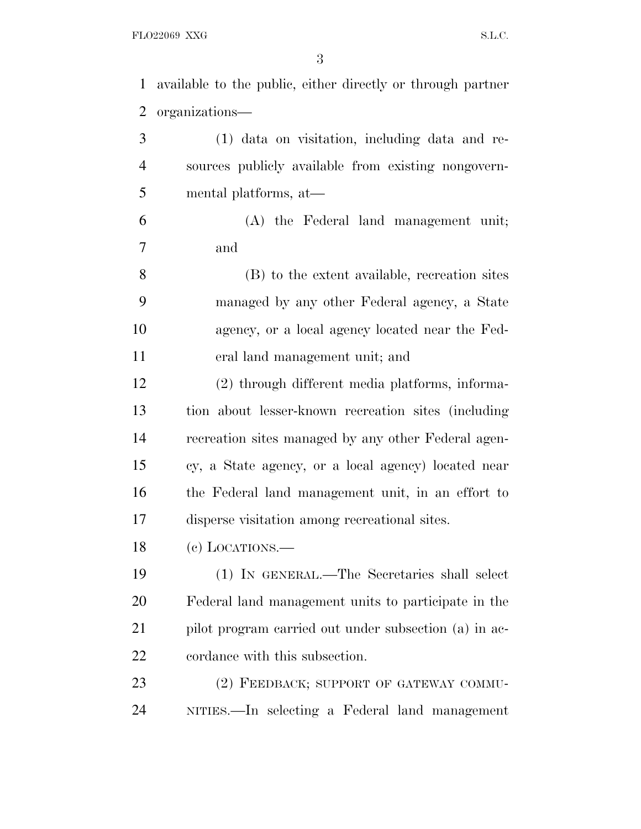FLO22069 XXG  $S.L.C.$ 

| available to the public, either directly or through partner |
|-------------------------------------------------------------|
| organizations—                                              |
| (1) data on visitation, including data and re-              |
| sources publicly available from existing nongovern-         |
| mental platforms, at-                                       |
| (A) the Federal land management unit;                       |
| and                                                         |
| (B) to the extent available, recreation sites               |
| managed by any other Federal agency, a State                |
| agency, or a local agency located near the Fed-             |
| eral land management unit; and                              |
| (2) through different media platforms, informa-             |
| tion about lesser-known recreation sites (including         |
| recreation sites managed by any other Federal agen-         |
| cy, a State agency, or a local agency) located near         |
| the Federal land management unit, in an effort to           |
| disperse visitation among recreational sites.               |
| (e) LOCATIONS.                                              |
| (1) IN GENERAL.—The Secretaries shall select                |
| Federal land management units to participate in the         |
| pilot program carried out under subsection (a) in ac-       |
|                                                             |
| cordance with this subsection.                              |
| (2) FEEDBACK; SUPPORT OF GATEWAY COMMU-                     |
|                                                             |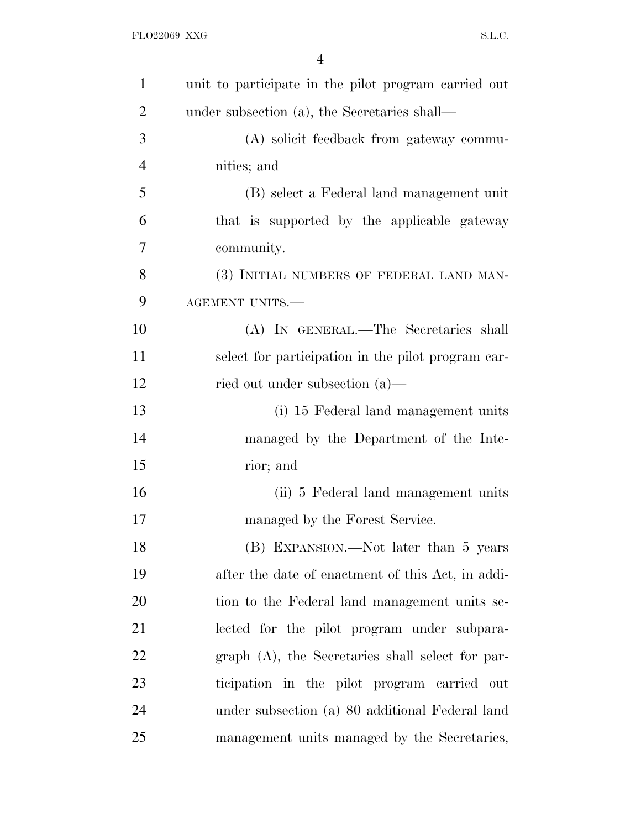| $\mathbf{1}$   | unit to participate in the pilot program carried out |
|----------------|------------------------------------------------------|
| $\overline{2}$ | under subsection (a), the Secretaries shall—         |
| 3              | (A) solicit feedback from gateway commu-             |
| $\overline{4}$ | nities; and                                          |
| 5              | (B) select a Federal land management unit            |
| 6              | that is supported by the applicable gateway          |
| 7              | community.                                           |
| 8              | (3) INITIAL NUMBERS OF FEDERAL LAND MAN-             |
| 9              | AGEMENT UNITS.-                                      |
| 10             | (A) IN GENERAL.—The Secretaries shall                |
| 11             | select for participation in the pilot program car-   |
| 12             | ried out under subsection $(a)$ —                    |
| 13             | (i) 15 Federal land management units                 |
| 14             | managed by the Department of the Inte-               |
| 15             | rior; and                                            |
| 16             | (ii) 5 Federal land management units                 |
| 17             | managed by the Forest Service.                       |
| 18             | (B) EXPANSION.—Not later than 5 years                |
| 19             | after the date of enactment of this Act, in addi-    |
| 20             | tion to the Federal land management units se-        |
| 21             | lected for the pilot program under subpara-          |
| 22             | graph (A), the Secretaries shall select for par-     |
| 23             | ticipation in the pilot program carried out          |
| 24             | under subsection (a) 80 additional Federal land      |
| 25             | management units managed by the Secretaries,         |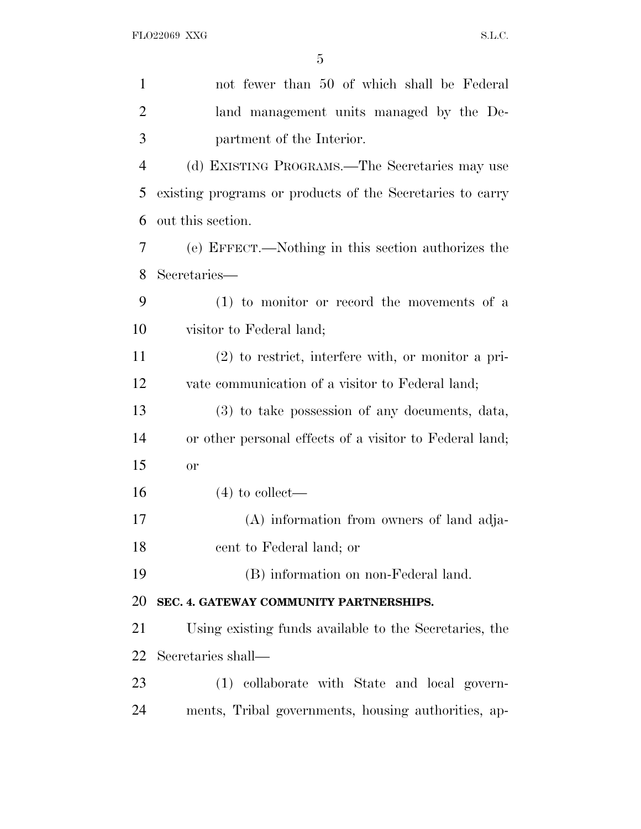| $\mathbf{1}$   | not fewer than 50 of which shall be Federal               |
|----------------|-----------------------------------------------------------|
| $\overline{2}$ | land management units managed by the De-                  |
| 3              | partment of the Interior.                                 |
| $\overline{4}$ | (d) EXISTING PROGRAMS.—The Secretaries may use            |
| 5              | existing programs or products of the Secretaries to carry |
| 6              | out this section.                                         |
| 7              | (e) EFFECT.—Nothing in this section authorizes the        |
| 8              | Secretaries-                                              |
| 9              | $(1)$ to monitor or record the movements of a             |
| 10             | visitor to Federal land;                                  |
| 11             | $(2)$ to restrict, interfere with, or monitor a pri-      |
| 12             | vate communication of a visitor to Federal land;          |
| 13             | (3) to take possession of any documents, data,            |
| 14             | or other personal effects of a visitor to Federal land;   |
| 15             | <b>or</b>                                                 |
| 16             | $(4)$ to collect—                                         |
| 17             | (A) information from owners of land adja-                 |
| 18             | cent to Federal land; or                                  |
| 19             | (B) information on non-Federal land.                      |
| 20             | SEC. 4. GATEWAY COMMUNITY PARTNERSHIPS.                   |
| 21             | Using existing funds available to the Secretaries, the    |
| 22             | Secretaries shall—                                        |
| 23             | (1) collaborate with State and local govern-              |
| 24             | ments, Tribal governments, housing authorities, ap-       |